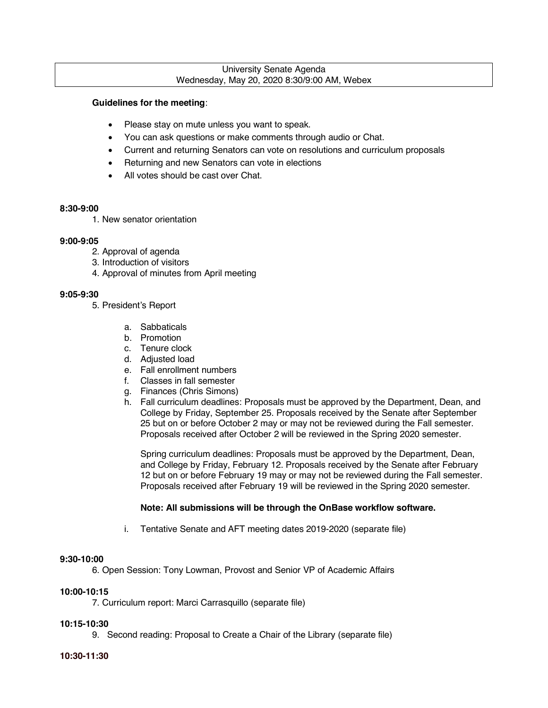#### University Senate Agenda Wednesday, May 20, 2020 8:30/9:00 AM, Webex

#### **Guidelines for the meeting**:

- Please stay on mute unless you want to speak.
- You can ask questions or make comments through audio or Chat.
- Current and returning Senators can vote on resolutions and curriculum proposals
- Returning and new Senators can vote in elections
- All votes should be cast over Chat.

#### **8:30-9:00**

1. New senator orientation

## **9:00-9:05**

- 2. Approval of agenda
- 3. Introduction of visitors
- 4. Approval of minutes from April meeting

## **9:05-9:30**

- 5. President's Report
	- a. Sabbaticals
	- b. Promotion
	- c. Tenure clock
	- d. Adjusted load
	- e. Fall enrollment numbers
	- f. Classes in fall semester
	- g. Finances (Chris Simons)
	- h. Fall curriculum deadlines: Proposals must be approved by the Department, Dean, and College by Friday, September 25. Proposals received by the Senate after September 25 but on or before October 2 may or may not be reviewed during the Fall semester. Proposals received after October 2 will be reviewed in the Spring 2020 semester.

Spring curriculum deadlines: Proposals must be approved by the Department, Dean, and College by Friday, February 12. Proposals received by the Senate after February 12 but on or before February 19 may or may not be reviewed during the Fall semester. Proposals received after February 19 will be reviewed in the Spring 2020 semester.

## **Note: All submissions will be through the OnBase workflow software.**

i. Tentative Senate and AFT meeting dates 2019-2020 (separate file)

## **9:30-10:00**

6. Open Session: Tony Lowman, Provost and Senior VP of Academic Affairs

# **10:00-10:15**

7. Curriculum report: Marci Carrasquillo (separate file)

## **10:15-10:30**

9. Second reading: Proposal to Create a Chair of the Library (separate file)